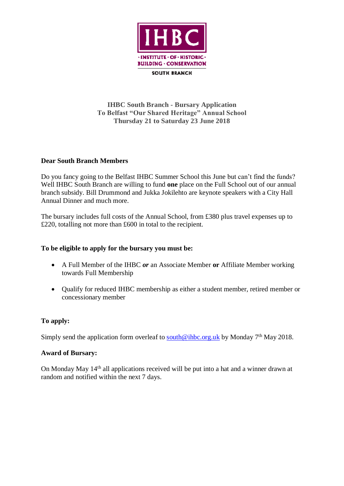

**IHBC South Branch - Bursary Application To Belfast "Our Shared Heritage" Annual School Thursday 21 to Saturday 23 June 2018**

### **Dear South Branch Members**

Do you fancy going to the Belfast IHBC Summer School this June but can't find the funds? Well IHBC South Branch are willing to fund **one** place on the Full School out of our annual branch subsidy. Bill Drummond and Jukka Jokilehto are keynote speakers with a City Hall Annual Dinner and much more.

The bursary includes full costs of the Annual School, from £380 plus travel expenses up to £220, totalling not more than £600 in total to the recipient.

### **To be eligible to apply for the bursary you must be:**

- A Full Member of the IHBC *or* an Associate Member **or** Affiliate Member working towards Full Membership
- Qualify for reduced IHBC membership as either a student member, retired member or concessionary member

# **To apply:**

Simply send the application form overleaf to [south@ihbc.org.uk](mailto:south@ihbc.org.uk) by Monday  $7<sup>th</sup>$  May 2018.

### **Award of Bursary:**

On Monday May 14th all applications received will be put into a hat and a winner drawn at random and notified within the next 7 days.